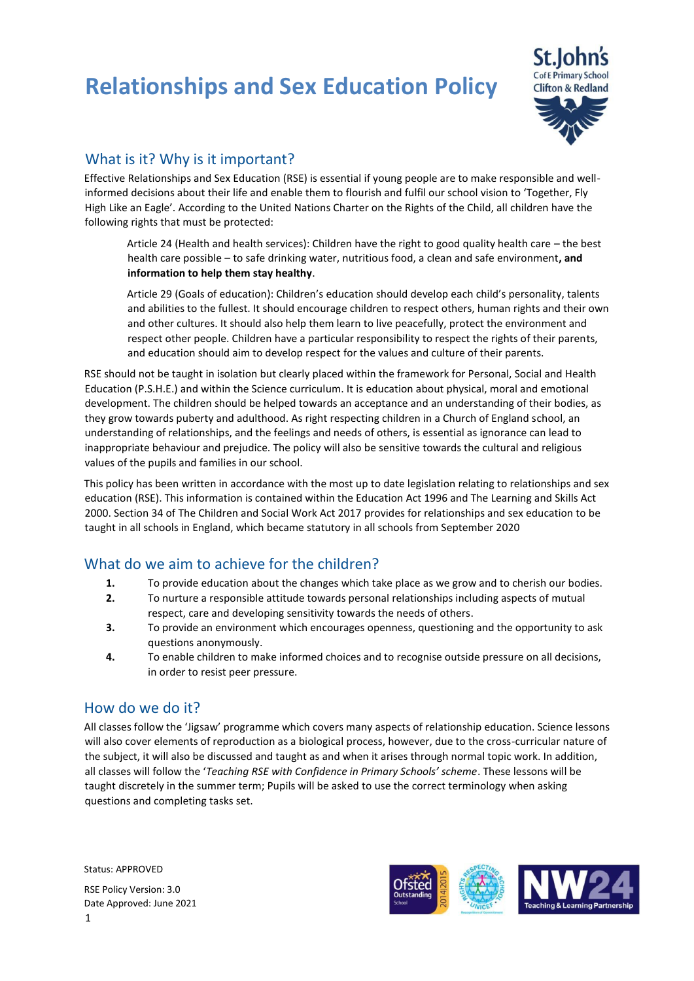# **Relationships and Sex Education Policy**



## What is it? Why is it important?

Effective Relationships and Sex Education (RSE) is essential if young people are to make responsible and wellinformed decisions about their life and enable them to flourish and fulfil our school vision to 'Together, Fly High Like an Eagle'. According to the United Nations Charter on the Rights of the Child, all children have the following rights that must be protected:

Article 24 (Health and health services): Children have the right to good quality health care – the best health care possible – to safe drinking water, nutritious food, a clean and safe environment**, and information to help them stay healthy**.

Article 29 (Goals of education): Children's education should develop each child's personality, talents and abilities to the fullest. It should encourage children to respect others, human rights and their own and other cultures. It should also help them learn to live peacefully, protect the environment and respect other people. Children have a particular responsibility to respect the rights of their parents, and education should aim to develop respect for the values and culture of their parents.

RSE should not be taught in isolation but clearly placed within the framework for Personal, Social and Health Education (P.S.H.E.) and within the Science curriculum. It is education about physical, moral and emotional development. The children should be helped towards an acceptance and an understanding of their bodies, as they grow towards puberty and adulthood. As right respecting children in a Church of England school, an understanding of relationships, and the feelings and needs of others, is essential as ignorance can lead to inappropriate behaviour and prejudice. The policy will also be sensitive towards the cultural and religious values of the pupils and families in our school.

This policy has been written in accordance with the most up to date legislation relating to relationships and sex education (RSE). This information is contained within the Education Act 1996 and The Learning and Skills Act 2000. Section 34 of The Children and Social Work Act 2017 provides for relationships and sex education to be taught in all schools in England, which became statutory in all schools from September 2020

### What do we aim to achieve for the children?

- **1.** To provide education about the changes which take place as we grow and to cherish our bodies.
- **2.** To nurture a responsible attitude towards personal relationships including aspects of mutual respect, care and developing sensitivity towards the needs of others.
- **3.** To provide an environment which encourages openness, questioning and the opportunity to ask questions anonymously.
- **4.** To enable children to make informed choices and to recognise outside pressure on all decisions, in order to resist peer pressure.

#### How do we do it?

All classes follow the 'Jigsaw' programme which covers many aspects of relationship education. Science lessons will also cover elements of reproduction as a biological process, however, due to the cross-curricular nature of the subject, it will also be discussed and taught as and when it arises through normal topic work. In addition, all classes will follow the '*Teaching RSE with Confidence in Primary Schools' scheme*. These lessons will be taught discretely in the summer term; Pupils will be asked to use the correct terminology when asking questions and completing tasks set.

Status: APPROVED



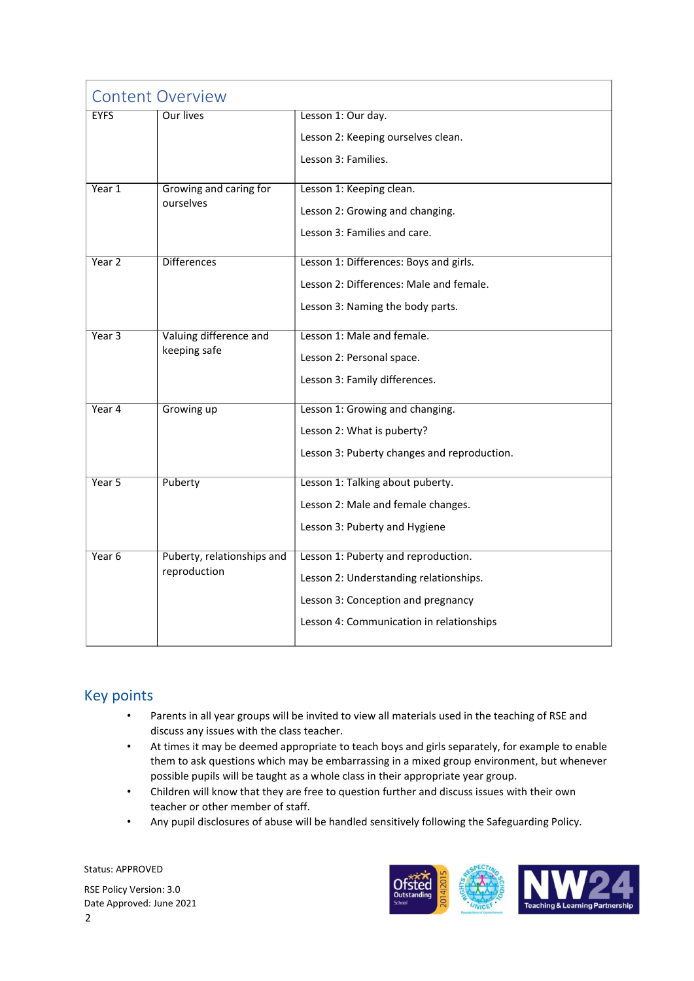| <b>Content Overview</b> |                                            |                                             |
|-------------------------|--------------------------------------------|---------------------------------------------|
| <b>EYFS</b>             | Our lives                                  | Lesson 1: Our day.                          |
|                         |                                            | Lesson 2: Keeping ourselves clean.          |
|                         |                                            | Lesson 3: Families.                         |
| Year 1                  | Growing and caring for<br>ourselves        | Lesson 1: Keeping clean.                    |
|                         |                                            | Lesson 2: Growing and changing.             |
|                         |                                            | Lesson 3: Families and care.                |
| Year 2                  | <b>Differences</b>                         | Lesson 1: Differences: Boys and girls.      |
|                         |                                            | Lesson 2: Differences: Male and female.     |
|                         |                                            | Lesson 3: Naming the body parts.            |
| Year 3                  | Valuing difference and                     | Lesson 1: Male and female.                  |
|                         | keeping safe                               | Lesson 2: Personal space.                   |
|                         |                                            | Lesson 3: Family differences.               |
| Year 4                  | Growing up                                 | Lesson 1: Growing and changing.             |
|                         |                                            | Lesson 2: What is puberty?                  |
|                         |                                            | Lesson 3: Puberty changes and reproduction. |
| Year 5                  | Puberty                                    | Lesson 1: Talking about puberty.            |
|                         |                                            | Lesson 2: Male and female changes.          |
|                         |                                            | Lesson 3: Puberty and Hygiene               |
| Year <sub>6</sub>       | Puberty, relationships and<br>reproduction | Lesson 1: Puberty and reproduction.         |
|                         |                                            | Lesson 2: Understanding relationships.      |
|                         |                                            | Lesson 3: Conception and pregnancy          |
|                         |                                            | Lesson 4: Communication in relationships    |
|                         |                                            |                                             |

## Key points

- Parents in all year groups will be invited to view all materials used in the teaching of RSE and discuss any issues with the class teacher.
- At times it may be deemed appropriate to teach boys and girls separately, for example to enable them to ask questions which may be embarrassing in a mixed group environment, but whenever possible pupils will be taught as a whole class in their appropriate year group.
- Children will know that they are free to question further and discuss issues with their own teacher or other member of staff.
- Any pupil disclosures of abuse will be handled sensitively following the Safeguarding Policy.

Status: APPROVED RSE Policy Version: 3.0 Date Approved: June 2021 2